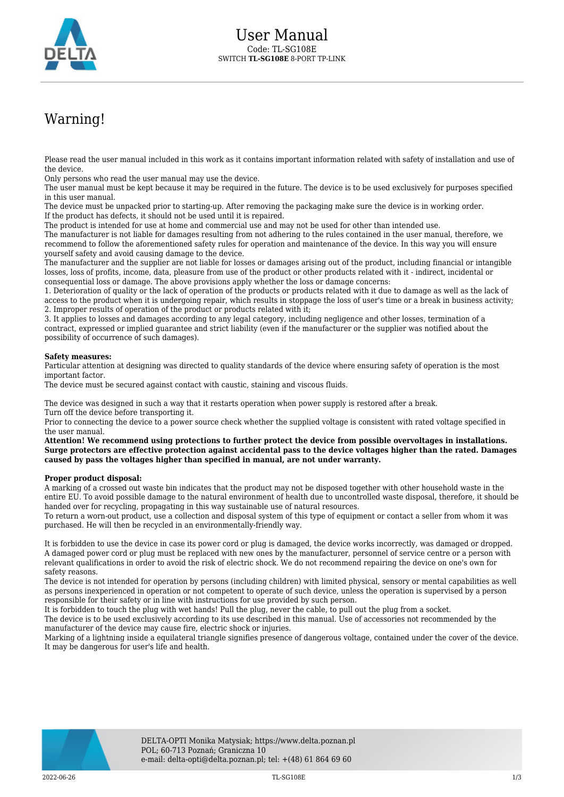

## Warning!

Please read the user manual included in this work as it contains important information related with safety of installation and use of the device.

Only persons who read the user manual may use the device.

The user manual must be kept because it may be required in the future. The device is to be used exclusively for purposes specified in this user manual.

The device must be unpacked prior to starting-up. After removing the packaging make sure the device is in working order. If the product has defects, it should not be used until it is repaired.

The product is intended for use at home and commercial use and may not be used for other than intended use.

The manufacturer is not liable for damages resulting from not adhering to the rules contained in the user manual, therefore, we recommend to follow the aforementioned safety rules for operation and maintenance of the device. In this way you will ensure yourself safety and avoid causing damage to the device.

The manufacturer and the supplier are not liable for losses or damages arising out of the product, including financial or intangible losses, loss of profits, income, data, pleasure from use of the product or other products related with it - indirect, incidental or consequential loss or damage. The above provisions apply whether the loss or damage concerns:

1. Deterioration of quality or the lack of operation of the products or products related with it due to damage as well as the lack of access to the product when it is undergoing repair, which results in stoppage the loss of user's time or a break in business activity; 2. Improper results of operation of the product or products related with it;

3. It applies to losses and damages according to any legal category, including negligence and other losses, termination of a contract, expressed or implied guarantee and strict liability (even if the manufacturer or the supplier was notified about the possibility of occurrence of such damages).

## **Safety measures:**

Particular attention at designing was directed to quality standards of the device where ensuring safety of operation is the most important factor.

The device must be secured against contact with caustic, staining and viscous fluids.

The device was designed in such a way that it restarts operation when power supply is restored after a break. Turn off the device before transporting it.

Prior to connecting the device to a power source check whether the supplied voltage is consistent with rated voltage specified in the user manual.

**Attention! We recommend using protections to further protect the device from possible overvoltages in installations. Surge protectors are effective protection against accidental pass to the device voltages higher than the rated. Damages caused by pass the voltages higher than specified in manual, are not under warranty.**

## **Proper product disposal:**

A marking of a crossed out waste bin indicates that the product may not be disposed together with other household waste in the entire EU. To avoid possible damage to the natural environment of health due to uncontrolled waste disposal, therefore, it should be handed over for recycling, propagating in this way sustainable use of natural resources.

To return a worn-out product, use a collection and disposal system of this type of equipment or contact a seller from whom it was purchased. He will then be recycled in an environmentally-friendly way.

It is forbidden to use the device in case its power cord or plug is damaged, the device works incorrectly, was damaged or dropped. A damaged power cord or plug must be replaced with new ones by the manufacturer, personnel of service centre or a person with relevant qualifications in order to avoid the risk of electric shock. We do not recommend repairing the device on one's own for safety reasons.

The device is not intended for operation by persons (including children) with limited physical, sensory or mental capabilities as well as persons inexperienced in operation or not competent to operate of such device, unless the operation is supervised by a person responsible for their safety or in line with instructions for use provided by such person.

It is forbidden to touch the plug with wet hands! Pull the plug, never the cable, to pull out the plug from a socket.

The device is to be used exclusively according to its use described in this manual. Use of accessories not recommended by the manufacturer of the device may cause fire, electric shock or injuries.

Marking of a lightning inside a equilateral triangle signifies presence of dangerous voltage, contained under the cover of the device. It may be dangerous for user's life and health.

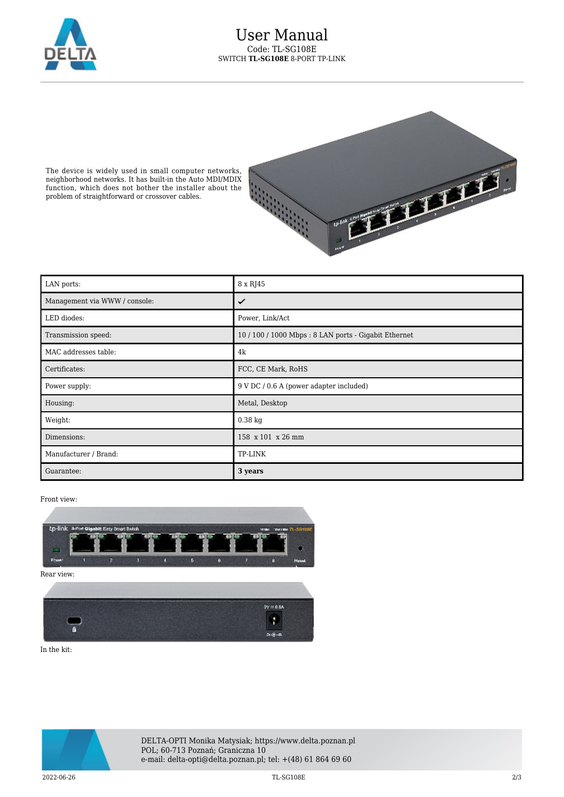

The device is widely used in small computer networks, neighborhood networks. It has built-in the Auto MDI/MDIX function, which does not bother the installer about the problem of straightforward or crossover cables.



| LAN ports:                    | 8 x RJ45                                             |
|-------------------------------|------------------------------------------------------|
| Management via WWW / console: | ✓                                                    |
| LED diodes:                   | Power, Link/Act                                      |
| Transmission speed:           | 10 / 100 / 1000 Mbps: 8 LAN ports - Gigabit Ethernet |
| MAC addresses table:          | 4k                                                   |
| Certificates:                 | FCC, CE Mark, RoHS                                   |
| Power supply:                 | 9 V DC / 0.6 A (power adapter included)              |
| Housing:                      | Metal, Desktop                                       |
| Weight:                       | $0.38$ kg                                            |
| Dimensions:                   | 158 x 101 x 26 mm                                    |
| Manufacturer / Brand:         | TP-LINK                                              |
| Guarantee:                    | 3 years                                              |

Front view:



In the kit:



DELTA-OPTI Monika Matysiak; https://www.delta.poznan.pl POL; 60-713 Poznań; Graniczna 10 e-mail: delta-opti@delta.poznan.pl; tel: +(48) 61 864 69 60